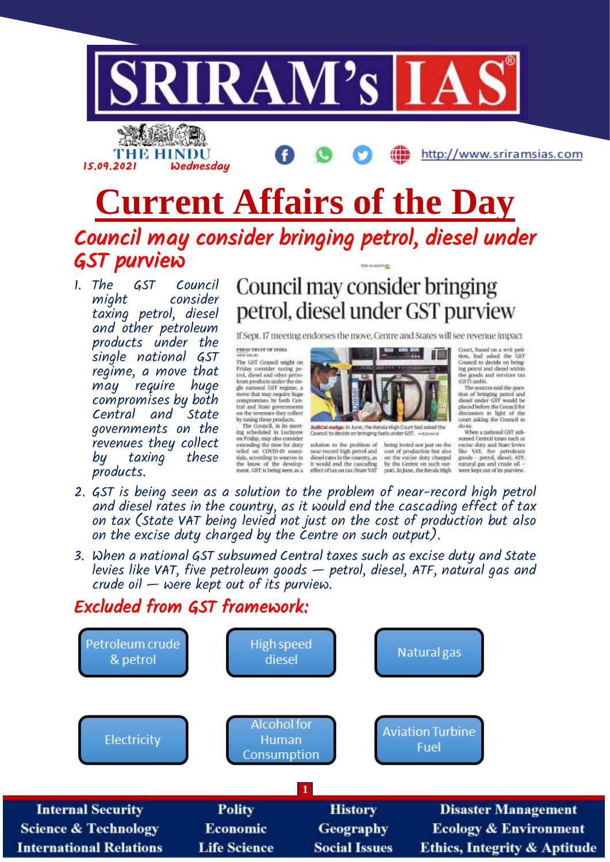

THE HINDU 15.09.2021 Wednesday

http://www.sriramsias.com

# **Current Affairs of the Day** Council may consider bringing petrol, diesel under GST purview

1. The GST Council might consider taxing petrol, diesel and other petroleum products under the single national GST regime, a move that may require huge compromises by both Central and governments on the revenues they collect by taxing products.

## Council may consider bringing petrol, diesel under GST purview

If Sept. 17 meeting endorses the move, Centre and States will see revenue impact

PRESS TRUST OF INDIA<br>NEW SELVE

The GST Council might on The GST Council might on trial probability consider travia<br> $\mathbf{g}_2$  respectively, described ratios and other performances<br>of the spectrum products under the shed move that may respire the some<br>proposes by toth Coence and

tials, according to sources in the know of the develop<br>ment, GST is being seen as a



Judicial mudge: in June, the Kerala High Court had asked the<br>Council to decide on beinging fuels under GST. . - NDWW

solution to the problem of being levied not just on the near-record high petrol and cost of production but also diesel rates in the country, as on the excise duty channed it would end the cascading<br>effect of tax on tax (State VAT by the Centre on such out-<br>put), In June, the Kerala High Court, based on a writ petition, had asked the GST<br>Council to decide on bringing petrol and diesel within

ing petrol and diesel within<br>the goods and services tax<br>(GST) ambit.<br>The sources said the question of bringing petrol and<br>diesel under GST would be placed before the Council for<br>discussion in light of the<br>court asking the Council to do so. When a national GST sub-

sumed Central taxes such as<br>excise duty and State levies<br>like VAT, five petroleum<br>goods -- petrol, diesel, ATF, matural gas and crude oil<br>matural gas and crude oil -<br>were kept out of its purview.

- 2. GST is being seen as a solution to the problem of near-record high petrol and diesel rates in the country, as it would end the cascading effect of tax on tax (State VAT being levied not just on the cost of production but also on the excise duty charged by the Centre on such output).
- 3. When a national GST subsumed Central taxes such as excise duty and State levies like VAT, five petroleum goods — petrol, diesel, ATF, natural gas and crude oil — were kept out of its purview.

## Excluded from GST framework:

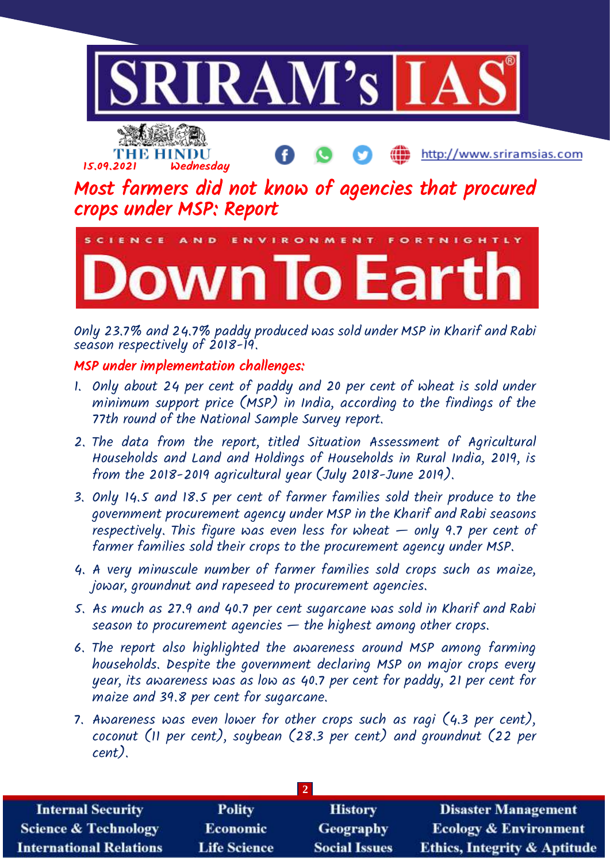



http://www.sriramsias.com

Most farmers did not know of agencies that procured crops under MSP: Report



Only 23.7% and 24.7% paddy produced was sold under MSP in Kharif and Rabi season respectively of 2018-19.

#### MSP under implementation challenges:

- 1. Only about 24 per cent of paddy and 20 per cent of wheat is sold under minimum support price (MSP) in India, according to the findings of the 77th round of the National Sample Survey report.
- 2. The data from the report, titled Situation Assessment of Agricultural Households and Land and Holdings of Households in Rural India, 2019, is from the 2018-2019 agricultural year (July 2018-June 2019).
- 3. Only 14.5 and 18.5 per cent of farmer families sold their produce to the government procurement agency under MSP in the Kharif and Rabi seasons respectively. This figure was even less for wheat  $-$  only 9.7 per cent of farmer families sold their crops to the procurement agency under MSP.
- 4. A very minuscule number of farmer families sold crops such as maize, jowar, groundnut and rapeseed to procurement agencies.
- 5. As much as 27.9 and 40.7 per cent sugarcane was sold in Kharif and Rabi season to procurement agencies — the highest among other crops.
- 6. The report also highlighted the awareness around MSP among farming households. Despite the government declaring MSP on major crops every year, its awareness was as low as 40.7 per cent for paddy, 21 per cent for maize and 39.8 per cent for sugarcane.
- 7. Awareness was even lower for other crops such as ragi (4.3 per cent), coconut (11 per cent), soybean (28.3 per cent) and groundnut (22 per cent).

| <b>Internal Security</b>        | <b>Polity</b>       | <b>History</b>       | <b>Disaster Management</b>              |
|---------------------------------|---------------------|----------------------|-----------------------------------------|
| <b>Science &amp; Technology</b> | <b>Economic</b>     | Geography            | <b>Ecology &amp; Environment</b>        |
| <b>International Relations</b>  | <b>Life Science</b> | <b>Social Issues</b> | <b>Ethics, Integrity &amp; Aptitude</b> |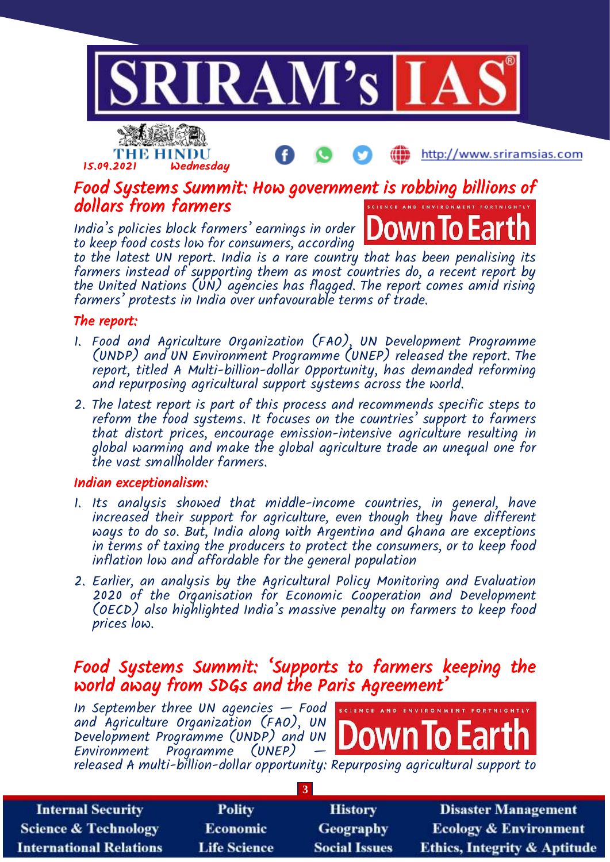

## Food Systems Summit: How government is robbing billions of dollars from farmers

India's policies block farmers' earnings in order to keep food costs low for consumers, according

15.09.2021 Wednesday

THE HINDU



http://www.sriramsias.com

to the latest UN report. India is a rare country that has been penalising its farmers instead of supporting them as most countries do, a recent report by the United Nations (UN) agencies has flagged. The report comes amid rising farmers' protests in India over unfavourable terms of trade.

#### The report:

- 1. Food and Agriculture Organization (FAO), UN Development Programme (UNDP) and UN Environment Programme (UNEP) released the report. The report, titled A Multi-billion-dollar Opportunity, has demanded reforming and repurposing agricultural support systems across the world.
- 2. The latest report is part of this process and recommends specific steps to reform the food systems. It focuses on the countries' support to farmers that distort prices, encourage emission-intensive agriculture resulting in global warming and make the global agriculture trade an unequal one for the vast smallholder farmers.

#### Indian exceptionalism:

- 1. Its analysis showed that middle-income countries, in general, have increased their support for agriculture, even though they have different ways to do so. But, India along with Argentina and Ghana are exceptions in terms of taxing the producers to protect the consumers, or to keep food inflation low and affordable for the general population
- 2. Earlier, an analysis by the Agricultural Policy Monitoring and Evaluation 2020 of the Organisation for Economic Cooperation and Development (OECD) also highlighted India's massive penalty on farmers to keep food prices low.

### Food Systems Summit: 'Supports to farmers keeping the world away from SDGs and the Paris Agreement'

In September three UN agencies  $-$  Food  $\frac{1}{s}$  science and EN and Agriculture Organization (FAO), UN Development Programme (UNDP) and UN Environment Programme (UNEP) released A multi-billion-dollar opportunity: Repurposing agricultural support to

| <b>Internal Security</b>        | <b>Polity</b>       | <b>History</b>       | <b>Disaster Management</b>              |
|---------------------------------|---------------------|----------------------|-----------------------------------------|
| <b>Science &amp; Technology</b> | <b>Economic</b>     | <b>Geography</b>     | <b>Ecology &amp; Environment</b>        |
| <b>International Relations</b>  | <b>Life Science</b> | <b>Social Issues</b> | <b>Ethics, Integrity &amp; Aptitude</b> |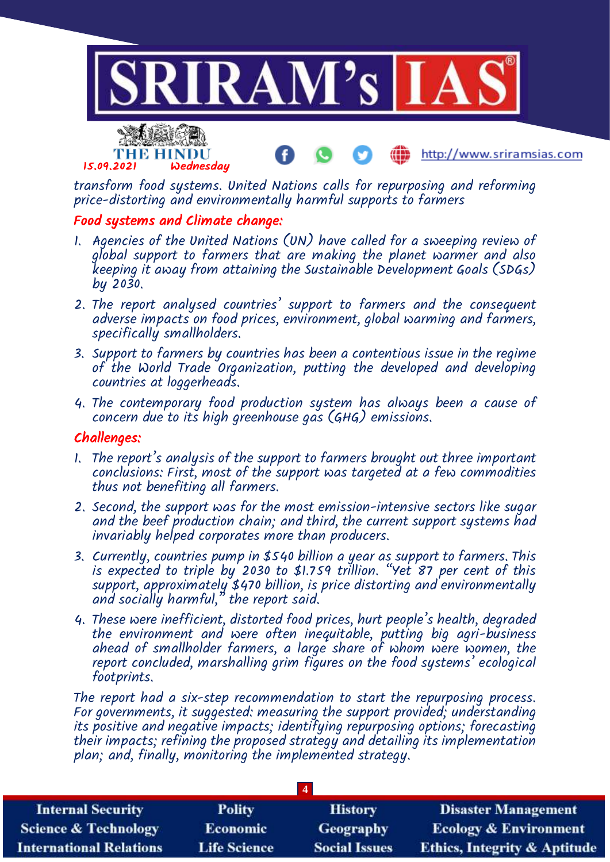

transform food systems. United Nations calls for repurposing and reforming price-distorting and environmentally harmful supports to farmers

#### Food systems and Climate change:

- 1. Agencies of the United Nations (UN) have called for a sweeping review of global support to farmers that are making the planet warmer and also keeping it away from attaining the Sustainable Development Goals (SDGs) by 2030.
- 2. The report analysed countries' support to farmers and the consequent adverse impacts on food prices, environment, global warming and farmers, specifically smallholders.
- 3. Support to farmers by countries has been a contentious issue in the regime of the World Trade Organization, putting the developed and developing countries at loggerheads.
- 4. The contemporary food production system has always been a cause of concern due to its high greenhouse gas (GHG) emissions.

#### Challenges:

- 1. The report's analysis of the support to farmers brought out three important conclusions: First, most of the support was targeted at a few commodities thus not benefiting all farmers.
- 2. Second, the support was for the most emission-intensive sectors like sugar and the beef production chain; and third, the current support systems had invariably helped corporates more than producers.
- 3. Currently, countries pump in \$540 billion a year as support to farmers. This is expected to triple by 2030 to \$1.759 trillion. "Yet 87 per cent of this support, approximately \$470 billion, is price distorting and environmentally and socially harmful," the report said.
- 4. These were inefficient, distorted food prices, hurt people's health, degraded the environment and were often inequitable, putting big agri-business ahead of smallholder farmers, a large share of whom were women, the report concluded, marshalling grim figures on the food systems' ecological footprints.

The report had a six-step recommendation to start the repurposing process. For governments, it suggested: measuring the support provided; understanding its positive and negative impacts; identifying repurposing options; forecasting their impacts; refining the proposed strategy and detailing its implementation plan; and, finally, monitoring the implemented strategy.

| <b>Internal Security</b>        | <b>Polity</b>       | <b>History</b>       | <b>Disaster Management</b>              |
|---------------------------------|---------------------|----------------------|-----------------------------------------|
| <b>Science &amp; Technology</b> | <b>Economic</b>     | Geography            | <b>Ecology &amp; Environment</b>        |
| <b>International Relations</b>  | <b>Life Science</b> | <b>Social Issues</b> | <b>Ethics, Integrity &amp; Aptitude</b> |